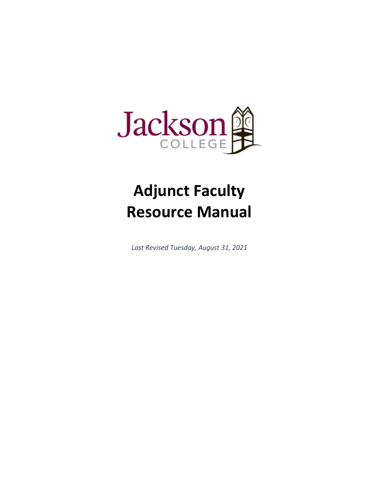

# **Adjunct Faculty Resource Manual**

*Last Revised Tuesday, August 31, 2021*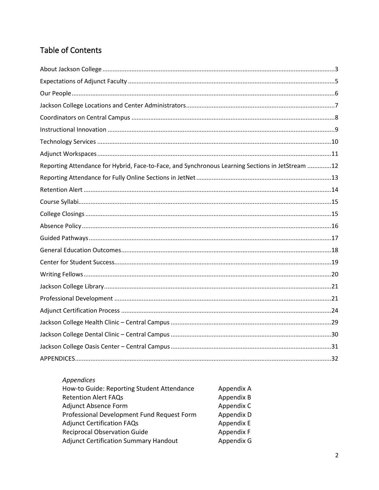# Table of Contents

| Reporting Attendance for Hybrid, Face-to-Face, and Synchronous Learning Sections in JetStream 12 |  |
|--------------------------------------------------------------------------------------------------|--|
|                                                                                                  |  |
|                                                                                                  |  |
|                                                                                                  |  |
|                                                                                                  |  |
|                                                                                                  |  |
|                                                                                                  |  |
|                                                                                                  |  |
|                                                                                                  |  |
|                                                                                                  |  |
|                                                                                                  |  |
|                                                                                                  |  |
|                                                                                                  |  |
|                                                                                                  |  |
|                                                                                                  |  |
|                                                                                                  |  |
|                                                                                                  |  |

| How-to Guide: Reporting Student Attendance   | Appendix A |
|----------------------------------------------|------------|
| <b>Retention Alert FAQs</b>                  | Appendix B |
| <b>Adjunct Absence Form</b>                  | Appendix C |
| Professional Development Fund Request Form   | Appendix D |
| <b>Adjunct Certification FAQs</b>            | Appendix E |
| <b>Reciprocal Observation Guide</b>          | Appendix F |
| <b>Adjunct Certification Summary Handout</b> | Appendix G |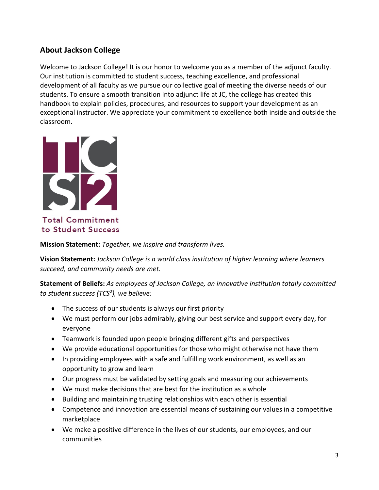# <span id="page-2-0"></span>**About Jackson College**

Welcome to Jackson College! It is our honor to welcome you as a member of the adjunct faculty. Our institution is committed to student success, teaching excellence, and professional development of all faculty as we pursue our collective goal of meeting the diverse needs of our students. To ensure a smooth transition into adjunct life at JC, the college has created this handbook to explain policies, procedures, and resources to support your development as an exceptional instructor. We appreciate your commitment to excellence both inside and outside the classroom.



**Total Commitment** to Student Success

**Mission Statement:** *Together, we inspire and transform lives.*

**Vision Statement:** *Jackson College is a world class institution of higher learning where learners succeed, and community needs are met.* 

**Statement of Beliefs:** *As employees of Jackson College, an innovative institution totally committed to student success (TCS²), we believe:*

- The success of our students is always our first priority
- We must perform our jobs admirably, giving our best service and support every day, for everyone
- Teamwork is founded upon people bringing different gifts and perspectives
- We provide educational opportunities for those who might otherwise not have them
- In providing employees with a safe and fulfilling work environment, as well as an opportunity to grow and learn
- Our progress must be validated by setting goals and measuring our achievements
- We must make decisions that are best for the institution as a whole
- Building and maintaining trusting relationships with each other is essential
- Competence and innovation are essential means of sustaining our values in a competitive marketplace
- We make a positive difference in the lives of our students, our employees, and our communities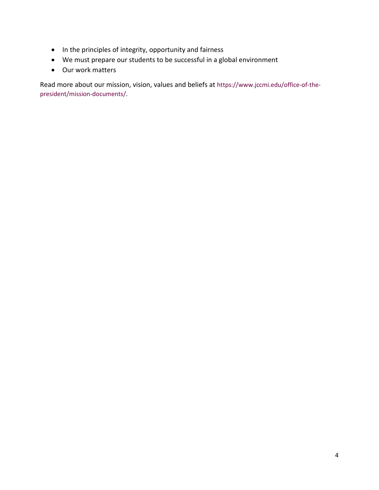- In the principles of integrity, opportunity and fairness
- We must prepare our students to be successful in a global environment
- Our work matters

Read more about our mission, vision, values and beliefs at [https://www.jccmi.edu/office-of-the](https://www.jccmi.edu/office-of-the-president/mission-documents/)[president/mission-documents/.](https://www.jccmi.edu/office-of-the-president/mission-documents/)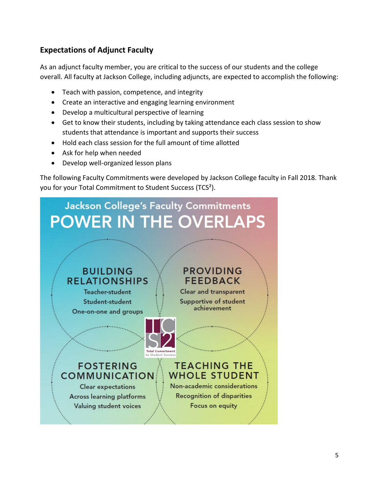# <span id="page-4-0"></span>**Expectations of Adjunct Faculty**

As an adjunct faculty member, you are critical to the success of our students and the college overall. All faculty at Jackson College, including adjuncts, are expected to accomplish the following:

- Teach with passion, competence, and integrity
- Create an interactive and engaging learning environment
- Develop a multicultural perspective of learning
- Get to know their students, including by taking attendance each class session to show students that attendance is important and supports their success
- Hold each class session for the full amount of time allotted
- Ask for help when needed
- Develop well-organized lesson plans

The following Faculty Commitments were developed by Jackson College faculty in Fall 2018. Thank you for your Total Commitment to Student Success (TCS²).

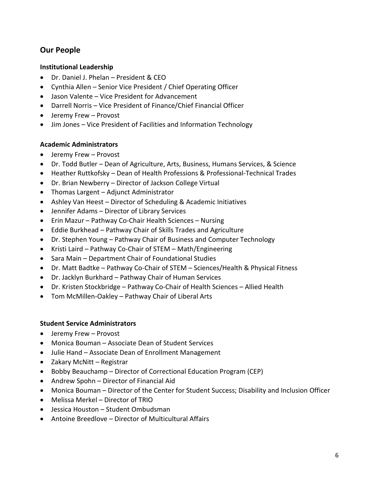# <span id="page-5-0"></span>**Our People**

#### **Institutional Leadership**

- Dr. Daniel J. Phelan President & CEO
- Cynthia Allen Senior Vice President / Chief Operating Officer
- Jason Valente Vice President for Advancement
- Darrell Norris Vice President of Finance/Chief Financial Officer
- Jeremy Frew Provost
- Jim Jones Vice President of Facilities and Information Technology

## **Academic Administrators**

- Jeremy Frew Provost
- Dr. Todd Butler Dean of Agriculture, Arts, Business, Humans Services, & Science
- Heather Ruttkofsky Dean of Health Professions & Professional-Technical Trades
- Dr. Brian Newberry Director of Jackson College Virtual
- Thomas Largent Adjunct Administrator
- Ashley Van Heest Director of Scheduling & Academic Initiatives
- Jennifer Adams Director of Library Services
- Erin Mazur Pathway Co-Chair Health Sciences Nursing
- Eddie Burkhead Pathway Chair of Skills Trades and Agriculture
- Dr. Stephen Young Pathway Chair of Business and Computer Technology
- Kristi Laird Pathway Co-Chair of STEM Math/Engineering
- Sara Main Department Chair of Foundational Studies
- Dr. Matt Badtke Pathway Co-Chair of STEM Sciences/Health & Physical Fitness
- Dr. Jacklyn Burkhard Pathway Chair of Human Services
- Dr. Kristen Stockbridge Pathway Co-Chair of Health Sciences Allied Health
- Tom McMillen-Oakley Pathway Chair of Liberal Arts

## **Student Service Administrators**

- Jeremy Frew Provost
- Monica Bouman Associate Dean of Student Services
- Julie Hand Associate Dean of Enrollment Management
- Zakary McNitt Registrar
- Bobby Beauchamp Director of Correctional Education Program (CEP)
- Andrew Spohn Director of Financial Aid
- Monica Bouman Director of the Center for Student Success; Disability and Inclusion Officer
- Melissa Merkel Director of TRIO
- Jessica Houston Student Ombudsman
- Antoine Breedlove Director of Multicultural Affairs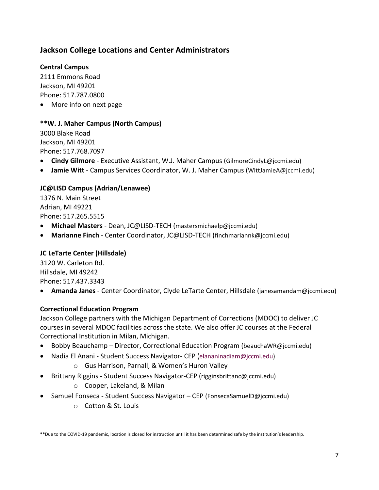# <span id="page-6-0"></span>**Jackson College Locations and Center Administrators**

## **Central Campus**

2111 Emmons Road Jackson, MI 49201 Phone: 517.787.0800

• More info on next page

#### **\*\*W. J. Maher Campus (North Campus)**

3000 Blake Road Jackson, MI 49201 Phone: 517.768.7097

- **Cindy Gilmore**  Executive Assistant, W.J. Maher Campus (GilmoreCindyL@jccmi.edu)
- **Jamie Witt** Campus Services Coordinator, W. J. Maher Campus (WittJamieA@jccmi.edu)

## **JC@LISD Campus (Adrian/Lenawee)**

1376 N. Main Street Adrian, MI 49221 Phone: 517.265.5515

- **Michael Masters** Dean, JC@LISD-TECH [\(mastersmichaelp@jccmi.edu\)](mailto:mastersmichaelp@jccmi.edu)
- **Marianne Finch** Center Coordinator, JC@LISD-TECH [\(finchmariannk@jccmi.edu\)](mailto:finchmariannk@jccmi.edu)

## **JC LeTarte Center (Hillsdale)**

3120 W. Carleton Rd. Hillsdale, MI 49242 Phone: 517.437.3343

• **Amanda Janes** - Center Coordinator, Clyde LeTarte Center, Hillsdale [\(janesamandam@jccmi.edu\)](mailto:janesamandam@jccmi.edu)

#### **Correctional Education Program**

Jackson College partners with the Michigan Department of Corrections (MDOC) to deliver JC courses in several MDOC facilities across the state. We also offer JC courses at the Federal Correctional Institution in Milan, Michigan.

- Bobby Beauchamp Director, Correctional Education Program [\(beauchaWR@jccmi.edu\)](mailto:beauchaWR@jccmi.edu)
- Nadia El Anani Student Success Navigator- CEP [\(elananinadiam@jccmi.edu\)](mailto:elananinadiam@jccmi.edu) o Gus Harrison, Parnall, & Women's Huron Valley
- Brittany Riggins Student Success Navigator-CEP [\(rigginsbrittanc@jccmi.edu\)](mailto:rigginsbrittanc@jccmi.edu)

## o Cooper, Lakeland, & Milan

- Samuel Fonseca Student Success Navigator CEP [\(FonsecaSamuelD@jccmi.edu\)](mailto:FonsecaSamuelD@jccmi.edu)
	- o Cotton & St. Louis

**\*\***Due to the COVID-19 pandemic, location is closed for instruction until it has been determined safe by the institution's leadership.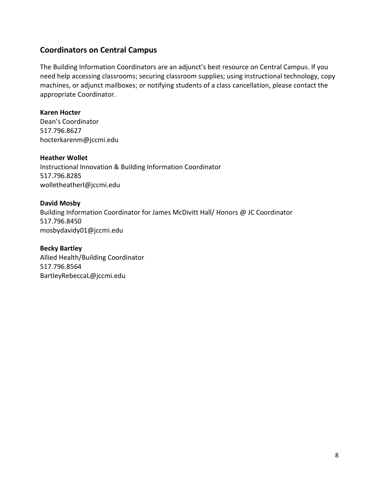# <span id="page-7-0"></span>**Coordinators on Central Campus**

The Building Information Coordinators are an adjunct's best resource on Central Campus. If you need help accessing classrooms; securing classroom supplies; using instructional technology, copy machines, or adjunct mailboxes; or notifying students of a class cancellation, please contact the appropriate Coordinator.

#### **Karen Hocter**

Dean's Coordinator 517.796.8627 [hocterkarenm@jccmi.edu](mailto:marlerkarenl@jccmi.edu)

#### **Heather Wollet**

Instructional Innovation & Building Information Coordinator 517.796.8285 [wolletheatherl@jccmi.edu](mailto:wolletheatherl@jccmi.edu)

#### **David Mosby**

Building Information Coordinator for James McDivitt Hall/ Honors @ JC Coordinator 517.796.8450 mosbydavidy01@jccmi.edu

**Becky Bartley** Allied Health/Building Coordinator 517.796.8564 BartleyRebeccaL@jccmi.edu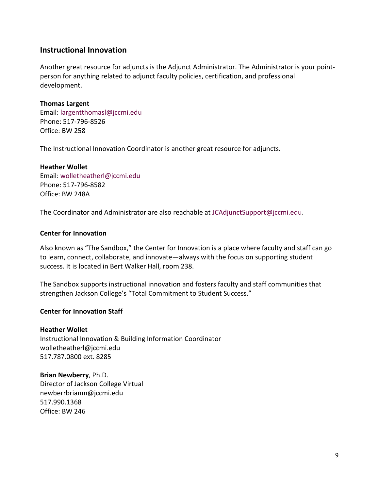## <span id="page-8-0"></span>**Instructional Innovation**

Another great resource for adjuncts is the Adjunct Administrator. The Administrator is your pointperson for anything related to adjunct faculty policies, certification, and professional development.

#### **Thomas Largent**

Email: [largentthomasl@jccmi.edu](mailto:largentthomasl@jccmi.edu) Phone: 517-796-8526 Office: BW 258

The Instructional Innovation Coordinator is another great resource for adjuncts.

## **Heather Wollet** Email: [wolletheatherl@jccmi.edu](mailto:wolletheatherl@jccmi.edu) Phone: 517-796-8582 Office: BW 248A

The Coordinator and Administrator are also reachable at [JCAdjunctSupport@jccmi.edu.](mailto:JCAdjunctSupport@jccmi.edu)

#### **Center for Innovation**

Also known as "The Sandbox," the Center for Innovation is a place where faculty and staff can go to learn, connect, collaborate, and innovate—always with the focus on supporting student success. It is located in Bert Walker Hall, room 238.

The Sandbox supports instructional innovation and fosters faculty and staff communities that strengthen Jackson College's "Total Commitment to Student Success."

#### **Center for Innovation Staff**

#### **Heather Wollet**

Instructional Innovation & Building Information Coordinator [wolletheatherl@jccmi.edu](mailto:wolletheatherl@jccmi.edu) 517.787.0800 ext. 8285

#### **Brian Newberry**, Ph.D.

Director of Jackson College Virtual [newberrbrianm@jccmi.edu](mailto:newberrbrianm@jccmi.edu) 517.990.1368 Office: BW 246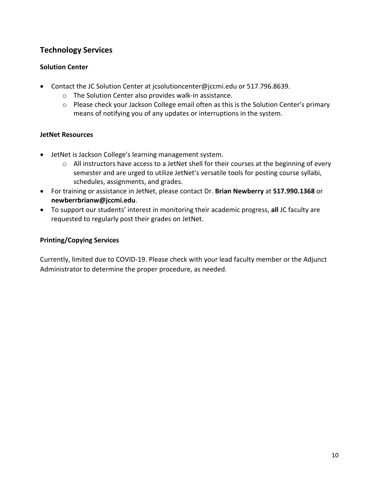# <span id="page-9-0"></span>**Technology Services**

## **Solution Center**

- Contact the JC Solution Center at [jcsolutioncenter@jccmi.edu](mailto:jcsolutioncenter@jccmi.edu) or 517.796.8639.
	- o The Solution Center also provides walk-in assistance.
	- o Please check your Jackson College email often as this is the Solution Center's primary means of notifying you of any updates or interruptions in the system.

## **JetNet Resources**

- JetNet is Jackson College's learning management system.
	- o All instructors have access to a JetNet shell for their courses at the beginning of every semester and are urged to utilize JetNet's versatile tools for posting course syllabi, schedules, assignments, and grades.
- For training or assistance in JetNet, please contact Dr. **Brian Newberry** at **517.990.1368** or **[newberrbrianw@jccmi.edu](mailto:newberrbrianw@jccmi.edu)**.
- To support our students' interest in monitoring their academic progress, **all** JC faculty are requested to regularly post their grades on JetNet.

## **Printing/Copying Services**

Currently, limited due to COVID-19. Please check with your lead faculty member or the Adjunct Administrator to determine the proper procedure, as needed.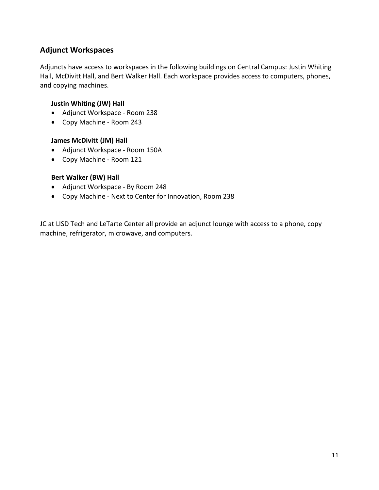# <span id="page-10-0"></span>**Adjunct Workspaces**

Adjuncts have access to workspaces in the following buildings on Central Campus: Justin Whiting Hall, McDivitt Hall, and Bert Walker Hall. Each workspace provides access to computers, phones, and copying machines.

## **Justin Whiting (JW) Hall**

- Adjunct Workspace Room 238
- Copy Machine Room 243

#### **James McDivitt (JM) Hall**

- Adjunct Workspace Room 150A
- Copy Machine Room 121

#### **Bert Walker (BW) Hall**

- Adjunct Workspace By Room 248
- Copy Machine Next to Center for Innovation, Room 238

JC at LISD Tech and LeTarte Center all provide an adjunct lounge with access to a phone, copy machine, refrigerator, microwave, and computers.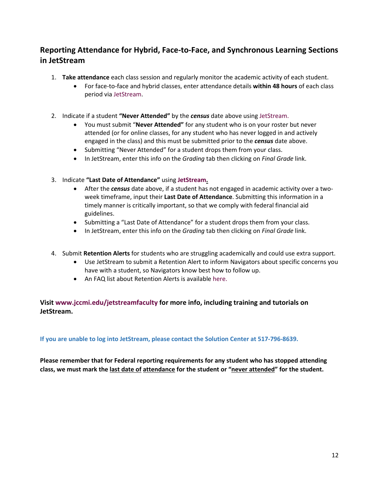# <span id="page-11-0"></span>**Reporting Attendance for Hybrid, Face-to-Face, and Synchronous Learning Sections in JetStream**

- 1. **Take attendance** each class session and regularly monitor the academic activity of each student.
	- For face-to-face and hybrid classes, enter attendance details **within 48 hours** of each class period vi[a JetStream.](https://jetstream.jccmi.edu/student/)
- 2. Indicate if a student **"Never Attended"** by the *census* date above using [JetStream.](https://jetstream.jccmi.edu/student/)
	- You must submit "**Never Attended"** for any student who is on your roster but never attended (or for online classes, for any student who has never logged in and actively engaged in the class) and this must be submitted prior to the *census* date above.
	- Submitting "Never Attended" for a student drops them from your class.
	- In JetStream, enter this info on the *Grading* tab then clicking on *Final Grade* link.
- 3. Indicate **"Last Date of Attendance"** using **[JetStream.](https://jetstream.jccmi.edu/student/)**
	- After the *census* date above, if a student has not engaged in academic activity over a twoweek timeframe, input their **Last Date of Attendance**. Submitting this information in a timely manner is critically important, so that we comply with federal financial aid guidelines.
	- Submitting a "Last Date of Attendance" for a student drops them from your class.
	- In JetStream, enter this info on the *Grading* tab then clicking on *Final Grade* link.
- 4. Submit **Retention Alerts** for students who are struggling academically and could use extra support.
	- Use JetStream to submit a Retention Alert to inform Navigators about specific concerns you have with a student, so Navigators know best how to follow up.
	- An FAQ list about Retention Alerts is available [here.](https://www.youtube.com/watch?v=z8Lz1IOyJeI&feature=emb_logo)

## **Visit [www.jccmi.edu/jetstreamfaculty](http://www.jccmi.edu/jetstreamfaculty) for more info, including training and tutorials on JetStream.**

**If you are unable to log into JetStream, please contact the Solution Center at 517-796-8639.**

**Please remember that for Federal reporting requirements for any student who has stopped attending class, we must mark the last date of attendance for the student or "never attended" for the student.**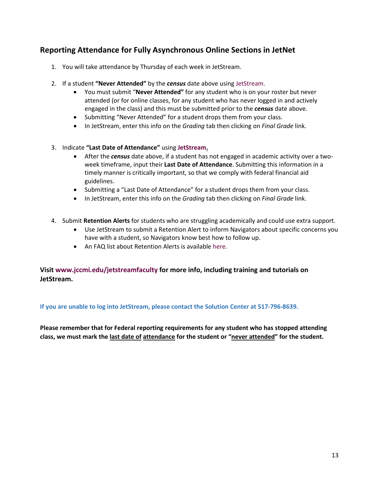# <span id="page-12-0"></span>**Reporting Attendance for Fully Asynchronous Online Sections in JetNet**

- 1. You will take attendance by Thursday of each week in JetStream.
- 2. If a student **"Never Attended"** by the *census* date above using [JetStream.](https://jetstream.jccmi.edu/student/)
	- You must submit "**Never Attended"** for any student who is on your roster but never attended (or for online classes, for any student who has never logged in and actively engaged in the class) and this must be submitted prior to the *census* date above.
	- Submitting "Never Attended" for a student drops them from your class.
	- In JetStream, enter this info on the *Grading* tab then clicking on *Final Grade* link.
- 3. Indicate **"Last Date of Attendance"** using **[JetStream.](https://jetstream.jccmi.edu/student/)**
	- After the *census* date above, if a student has not engaged in academic activity over a twoweek timeframe, input their **Last Date of Attendance**. Submitting this information in a timely manner is critically important, so that we comply with federal financial aid guidelines.
	- Submitting a "Last Date of Attendance" for a student drops them from your class.
	- In JetStream, enter this info on the *Grading* tab then clicking on *Final Grade* link.
- 4. Submit **Retention Alerts** for students who are struggling academically and could use extra support.
	- Use JetStream to submit a Retention Alert to inform Navigators about specific concerns you have with a student, so Navigators know best how to follow up.
	- An FAQ list about Retention Alerts is available [here.](https://www.youtube.com/watch?v=z8Lz1IOyJeI&feature=emb_logo)

## **Visit [www.jccmi.edu/jetstreamfaculty](http://www.jccmi.edu/jetstreamfaculty) for more info, including training and tutorials on JetStream.**

#### **If you are unable to log into JetStream, please contact the Solution Center at 517-796-8639.**

**Please remember that for Federal reporting requirements for any student who has stopped attending class, we must mark the last date of attendance for the student or "never attended" for the student.**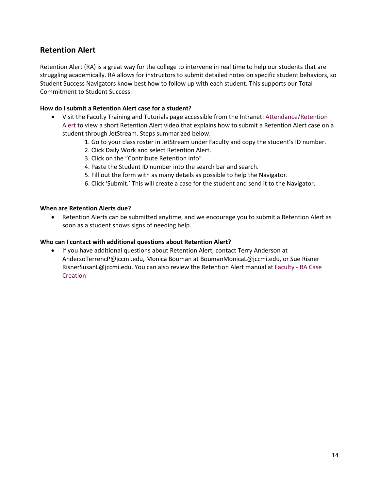# <span id="page-13-0"></span>**Retention Alert**

Retention Alert (RA) is a great way for the college to intervene in real time to help our students that are struggling academically. RA allows for instructors to submit detailed notes on specific student behaviors, so Student Success Navigators know best how to follow up with each student. This supports our Total Commitment to Student Success.

#### **How do I submit a Retention Alert case for a student?**

- Visit the Faculty Training and Tutorials page accessible from the Intranet: [Attendance/Retention](https://intranet.1.jccmi.edu/departments/faculty/training-tutorials/#jc-tabs-1-tab-1)  [Alert](https://intranet.1.jccmi.edu/departments/faculty/training-tutorials/#jc-tabs-1-tab-1) to view a short Retention Alert video that explains how to submit a Retention Alert case on a student through JetStream. Steps summarized below:
	- 1. Go to your class roster in JetStream under Faculty and copy the student's ID number.
	- 2. Click Daily Work and select Retention Alert.
	- 3. Click on the "Contribute Retention info".
	- 4. Paste the Student ID number into the search bar and search.
	- 5. Fill out the form with as many details as possible to help the Navigator.
	- 6. Click 'Submit.' This will create a case for the student and send it to the Navigator.

#### **When are Retention Alerts due?**

• Retention Alerts can be submitted anytime, and we encourage you to submit a Retention Alert as soon as a student shows signs of needing help.

#### **Who can I contact with additional questions about Retention Alert?**

• If you have additional questions about Retention Alert, contact Terry Anderson at AndersoTerrencP@jccmi.edu, Monica Bouman at BoumanMonicaL@jccmi.edu, or Sue Risner RisnerSusanL@jccmi.edu. You can also review the Retention Alert manual at [Faculty -](https://intranet.1.jccmi.edu/wp-content/uploads/sites/7/2020/12/Retention-Alert-Faculty-Instructions.pdf) RA Case **[Creation](https://intranet.1.jccmi.edu/wp-content/uploads/sites/7/2020/12/Retention-Alert-Faculty-Instructions.pdf)**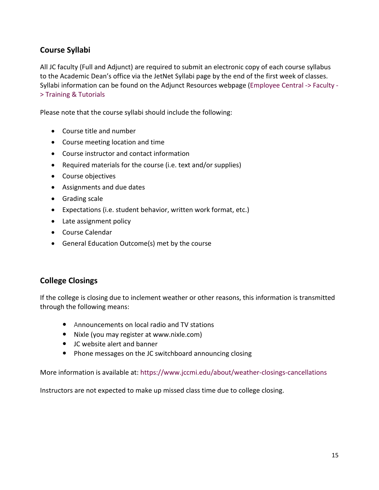# <span id="page-14-0"></span>**Course Syllabi**

All JC faculty (Full and Adjunct) are required to submit an electronic copy of each course syllabus to the Academic Dean's office via the JetNet Syllabi page by the end of the first week of classes. Syllabi information can be found on the [Adjunct Resources](https://www.jccmi.edu/academic-deans/adjunct-resources/) webpage [\(Employee Central -> Faculty -](https://intranet.1.jccmi.edu/departments/faculty/training-tutorials/#jc-tabs-1-tab-2) [> Training & Tutorials](https://intranet.1.jccmi.edu/departments/faculty/training-tutorials/#jc-tabs-1-tab-2)

Please note that the course syllabi should include the following:

- Course title and number
- Course meeting location and time
- Course instructor and contact information
- Required materials for the course (i.e. text and/or supplies)
- Course objectives
- Assignments and due dates
- Grading scale
- Expectations (i.e. student behavior, written work format, etc.)
- Late assignment policy
- Course Calendar
- General Education Outcome(s) met by the course

# <span id="page-14-1"></span>**College Closings**

If the college is closing due to inclement weather or other reasons, this information is transmitted through the following means:

- Announcements on local radio and TV stations
- Nixle (you may register at www.nixle.com)
- JC website alert and banner
- Phone messages on the JC switchboard announcing closing

More information is available at: <https://www.jccmi.edu/about/weather-closings-cancellations>

Instructors are not expected to make up missed class time due to college closing.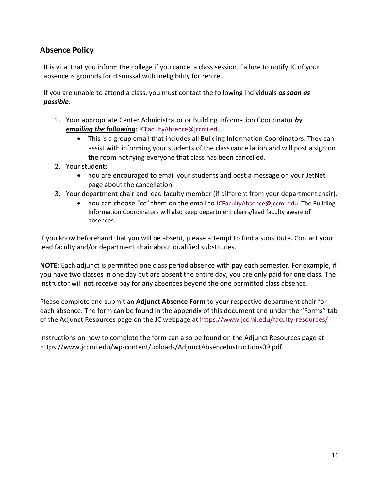# <span id="page-15-0"></span>**Absence Policy**

It is vital that you inform the college if you cancel a class session. Failure to notify JC of your absence is grounds for dismissal with ineligibility for rehire.

If you are unable to attend a class, you must contact the following individuals *as soon as possible*:

- 1. Your appropriate Center Administrator or Building Information Coordinator *by emailing the following*: [JCFacultyAbsence@jccmi.edu](mailto:JCFacultyAbsence@jccmi.edu)
	- This is a group email that includes all Building Information Coordinators. They can assist with informing your students of the class cancellation and will post a sign on the room notifying everyone that class has been cancelled.
- 2. Your students
	- You are encouraged to email your students and post a message on your JetNet page about the cancellation.
- 3. Your department chair and lead faculty member (if different from your department chair).
	- You can choose "cc" them on the email to [JCFacultyAbsence@jccmi.edu.](mailto:JCFacultyAbsence@jccmi.edu) The Building Information Coordinators will also keep department chairs/lead faculty aware of absences.

If you know beforehand that you will be absent, please attempt to find a substitute. Contact your lead faculty and/or department chair about qualified substitutes.

**NOTE**: Each adjunct is permitted one class period absence with pay each semester. For example, if you have two classes in one day but are absent the entire day, you are only paid for one class. The instructor will not receive pay for any absences beyond the one permitted class absence.

Please complete and submit an **Adjunct Absence Form** to your respective department chair for each absence. The form can be found in the appendix of this document and under the "Forms" tab of the Adjunct Resources page on the JC webpage at<https://www.jccmi.edu/faculty-resources/>

Instructions on how to complete the form can also be found on the Adjunct Resources page at [https://www.jccmi.edu/wp-content/uploads/AdjunctAbsenceInstructions09.pdf.](https://www.jccmi.edu/wp-content/uploads/AdjunctAbsenceInstructions09.pdf)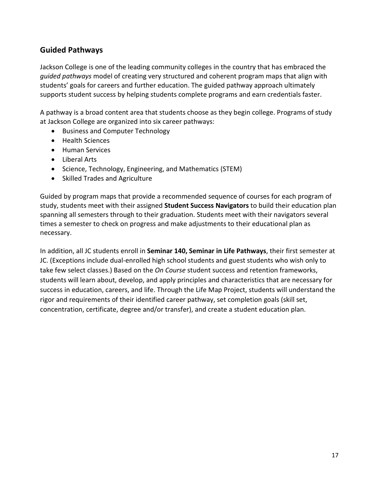# <span id="page-16-0"></span>**Guided Pathways**

Jackson College is one of the leading community colleges in the country that has embraced the *guided pathways* model of creating very structured and coherent program maps that align with students' goals for careers and further education. The guided pathway approach ultimately supports student success by helping students complete programs and earn credentials faster.

A pathway is a broad content area that students choose as they begin college. Programs of study at Jackson College are organized into six career pathways:

- Business and Computer Technology
- Health Sciences
- Human Services
- Liberal Arts
- Science, Technology, Engineering, and Mathematics (STEM)
- Skilled Trades and Agriculture

Guided by program maps that provide a recommended sequence of courses for each program of study, students meet with their assigned **Student Success Navigators** to build their education plan spanning all semesters through to their graduation. Students meet with their navigators several times a semester to check on progress and make adjustments to their educational plan as necessary.

In addition, all JC students enroll in **Seminar 140, Seminar in Life Pathways**, their first semester at JC. (Exceptions include dual-enrolled high school students and guest students who wish only to take few select classes.) Based on the *On Course* student success and retention frameworks, students will learn about, develop, and apply principles and characteristics that are necessary for success in education, careers, and life. Through the Life Map Project, students will understand the rigor and requirements of their identified career pathway, set completion goals (skill set, concentration, certificate, degree and/or transfer), and create a student education plan.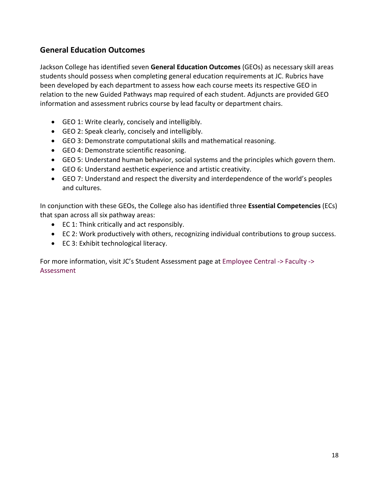# <span id="page-17-0"></span>**General Education Outcomes**

Jackson College has identified seven **General Education Outcomes** (GEOs) as necessary skill areas students should possess when completing general education requirements at JC. Rubrics have been developed by each department to assess how each course meets its respective GEO in relation to the new Guided Pathways map required of each student. Adjuncts are provided GEO information and assessment rubrics course by lead faculty or department chairs.

- GEO 1: Write clearly, concisely and intelligibly.
- GEO 2: Speak clearly, concisely and intelligibly.
- GEO 3: Demonstrate computational skills and mathematical reasoning.
- GEO 4: Demonstrate scientific reasoning.
- GEO 5: Understand human behavior, social systems and the principles which govern them.
- GEO 6: Understand aesthetic experience and artistic creativity.
- GEO 7: Understand and respect the diversity and interdependence of the world's peoples and cultures.

In conjunction with these GEOs, the College also has identified three **Essential Competencies** (ECs) that span across all six pathway areas:

- EC 1: Think critically and act responsibly.
- EC 2: Work productively with others, recognizing individual contributions to group success.
- EC 3: Exhibit technological literacy.

For more information, visit JC's Student Assessment page at [Employee Central -> Faculty ->](https://intranet.1.jccmi.edu/departments/faculty/assessment/)  [Assessment](https://intranet.1.jccmi.edu/departments/faculty/assessment/)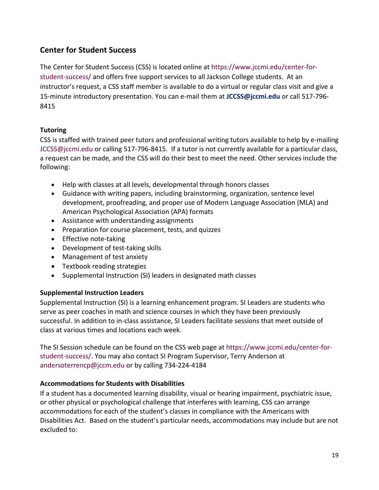# <span id="page-18-0"></span>**Center for Student Success**

The Center for Student Success (CSS) is located online at [https://www.jccmi.edu/center-for](https://www.jccmi.edu/center-for-student-success/)[student-success/](https://www.jccmi.edu/center-for-student-success/) and offers free support services to all Jackson College students. At an instructor's request, a CSS staff member is available to do a virtual or regular class visit and give a 15-minute introductory presentation. You can e-mail them at **[JCCSS@jccmi.edu](about:blank)** or call 517-796- 8415

## **Tutoring**

CSS is staffed with trained peer tutors and professional writing tutors available to help by e-mailing [JCCSS@jccmi.edu](mailto:JCCSS@jccmi.edu) or calling 517-796-8415. If a tutor is not currently available for a particular class, a request can be made, and the CSS will do their best to meet the need. Other services include the following:

- Help with classes at all levels, developmental through honors classes
- Guidance with writing papers, including brainstorming, organization, sentence level development, proofreading, and proper use of Modern Language Association (MLA) and American Psychological Association (APA) formats
- Assistance with understanding assignments
- Preparation for course placement, tests, and quizzes
- Effective note-taking
- Development of test-taking skills
- Management of test anxiety
- Textbook reading strategies
- Supplemental Instruction (SI) leaders in designated math classes

## **Supplemental Instruction Leaders**

Supplemental Instruction (SI) is a learning enhancement program. SI Leaders are students who serve as peer coaches in math and science courses in which they have been previously successful. In addition to in-class assistance, SI Leaders facilitate sessions that meet outside of class at various times and locations each week.

The SI Session schedule can be found on the CSS web page at [https://www.jccmi.edu/center-for](https://www.jccmi.edu/center-for-student-success/)[student-success/.](https://www.jccmi.edu/center-for-student-success/) You may also contact SI Program Supervisor, Terry Anderson at [andersoterrencp@jccm.edu](mailto:andersoterrencp@jccm.edu) or by calling 734-224-4184

## **Accommodations for Students with Disabilities**

If a student has a documented learning disability, visual or hearing impairment, psychiatric issue, or other physical or psychological challenge that interferes with learning, CSS can arrange accommodations for each of the student's classes in compliance with the Americans with Disabilities Act. Based on the student's particular needs, accommodations may include but are not excluded to: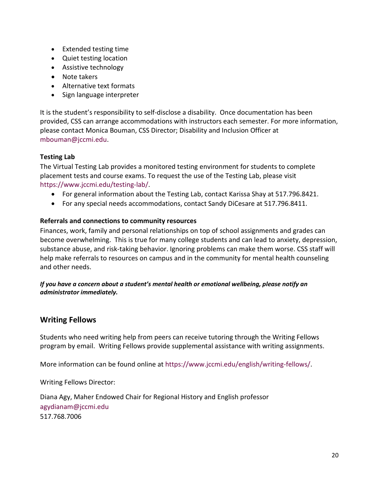- Extended testing time
- Quiet testing location
- Assistive technology
- Note takers
- Alternative text formats
- Sign language interpreter

It is the student's responsibility to self-disclose a disability. Once documentation has been provided, CSS can arrange accommodations with instructors each semester. For more information, please contact Monica Bouman, CSS Director; Disability and Inclusion Officer at [mbouman@jccmi.edu.](mailto:mbouman@jccmi.edu)

## **Testing Lab**

The Virtual Testing Lab provides a monitored testing environment for students to complete placement tests and course exams. To request the use of the Testing Lab, please visit [https://www.jccmi.edu/testing-lab/.](https://www.jccmi.edu/testing-lab/)

- For general information about the Testing Lab, contact Karissa Shay at 517.796.8421.
- For any special needs accommodations, contact Sandy DiCesare at 517.796.8411.

## **Referrals and connections to community resources**

Finances, work, family and personal relationships on top of school assignments and grades can become overwhelming. This is true for many college students and can lead to anxiety, depression, substance abuse, and risk-taking behavior. Ignoring problems can make them worse. CSS staff will help make referrals to resources on campus and in the community for mental health counseling and other needs.

*If you have a concern about a student's mental health or emotional wellbeing, please notify an administrator immediately.*

## <span id="page-19-0"></span>**Writing Fellows**

Students who need writing help from peers can receive tutoring through the Writing Fellows program by email. Writing Fellows provide supplemental assistance with writing assignments.

More information can be found online at [https://www.jccmi.edu/english/writing-fellows/.](https://www.jccmi.edu/english/writing-fellows/)

Writing Fellows Director:

Diana Agy, Maher Endowed Chair for Regional History and English professor [agydianam@jccmi.edu](mailto:agydianam@jccmi.edu) 517.768.7006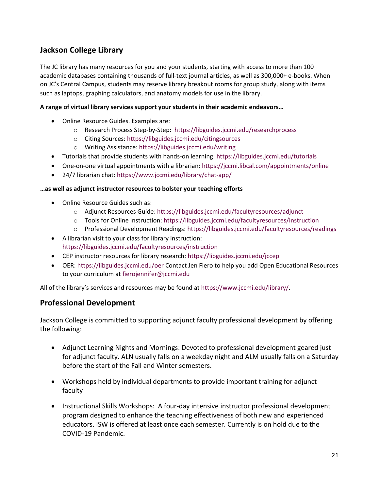# <span id="page-20-0"></span>**Jackson College Library**

The JC library has many resources for you and your students, starting with access to more than 100 academic databases containing thousands of full-text journal articles, as well as 300,000+ e-books. When on JC's Central Campus, students may reserve library breakout rooms for group study, along with items such as laptops, graphing calculators, and anatomy models for use in the library.

#### **A range of virtual library services support your students in their academic endeavors…**

- Online Resource Guides. Examples are:
	- o Research Process Step-by-Step: <https://libguides.jccmi.edu/researchprocess>
	- o Citing Sources:<https://libguides.jccmi.edu/citingsources>
	- o Writing Assistance[: https://libguides.jccmi.edu/writing](https://libguides.jccmi.edu/writing)
- Tutorials that provide students with hands-on learning[: https://libguides.jccmi.edu/tutorials](https://libguides.jccmi.edu/tutorials)
- One-on-one virtual appointments with a librarian:<https://jccmi.libcal.com/appointments/online>
- 24/7 librarian chat:<https://www.jccmi.edu/library/chat-app/>

#### **…as well as adjunct instructor resources to bolster your teaching efforts**

- Online Resource Guides such as:
	- o Adjunct Resources Guide:<https://libguides.jccmi.edu/facultyresources/adjunct>
	- o Tools for Online Instruction:<https://libguides.jccmi.edu/facultyresources/instruction>
	- o Professional Development Readings[: https://libguides.jccmi.edu/facultyresources/readings](https://libguides.jccmi.edu/facultyresources/readings)
- A librarian visit to your class for library instruction: <https://libguides.jccmi.edu/facultyresources/instruction>
- CEP instructor resources for library research:<https://libguides.jccmi.edu/jccep>
- OER:<https://libguides.jccmi.edu/oer> Contact Jen Fiero to help you add Open Educational Resources to your curriculum a[t fierojennifer@jccmi.edu](mailto:fierojennifer@jccmi.edu)

All of the library's services and resources may be found at [https://www.jccmi.edu/library/.](https://www.jccmi.edu/library/)

## <span id="page-20-1"></span>**Professional Development**

Jackson College is committed to supporting adjunct faculty professional development by offering the following:

- Adjunct Learning Nights and Mornings: Devoted to professional development geared just for adjunct faculty. ALN usually falls on a weekday night and ALM usually falls on a Saturday before the start of the Fall and Winter semesters.
- Workshops held by individual departments to provide important training for adjunct faculty
- Instructional Skills Workshops: A four-day intensive instructor professional development program designed to enhance the teaching effectiveness of both new and experienced educators. ISW is offered at least once each semester. Currently is on hold due to the COVID-19 Pandemic.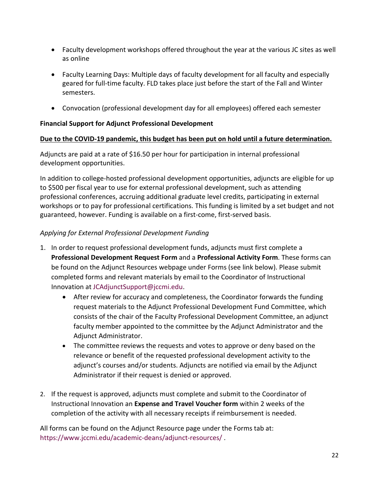- Faculty development workshops offered throughout the year at the various JC sites as well as online
- Faculty Learning Days: Multiple days of faculty development for all faculty and especially geared for full-time faculty. FLD takes place just before the start of the Fall and Winter semesters.
- Convocation (professional development day for all employees) offered each semester

## **Financial Support for Adjunct Professional Development**

#### **Due to the COVID-19 pandemic, this budget has been put on hold until a future determination.**

Adjuncts are paid at a rate of \$16.50 per hour for participation in internal professional development opportunities.

In addition to college-hosted professional development opportunities, adjuncts are eligible for up to \$500 per fiscal year to use for external professional development, such as attending professional conferences, accruing additional graduate level credits, participating in external workshops or to pay for professional certifications. This funding is limited by a set budget and not guaranteed, however. Funding is available on a first-come, first-served basis.

## *Applying for External Professional Development Funding*

- 1. In order to request professional development funds, adjuncts must first complete a **Professional Development Request Form** and a **Professional Activity Form**. These forms can be found on the Adjunct Resources webpage under Forms (see link below). Please submit completed forms and relevant materials by email to the Coordinator of Instructional Innovation at [JCAdjunctSupport@jccmi.edu.](mailto:JCAdjunctSupport@jccmi.edu)
	- After review for accuracy and completeness, the Coordinator forwards the funding request materials to the Adjunct Professional Development Fund Committee, which consists of the chair of the Faculty Professional Development Committee, an adjunct faculty member appointed to the committee by the Adjunct Administrator and the Adjunct Administrator.
	- The committee reviews the requests and votes to approve or deny based on the relevance or benefit of the requested professional development activity to the adjunct's courses and/or students. Adjuncts are notified via email by the Adjunct Administrator if their request is denied or approved.
- 2. If the request is approved, adjuncts must complete and submit to the Coordinator of Instructional Innovation an **Expense and Travel Voucher form** within 2 weeks of the completion of the activity with all necessary receipts if reimbursement is needed.

All forms can be found on the Adjunct Resource page under the Forms tab at: <https://www.jccmi.edu/academic-deans/adjunct-resources/> .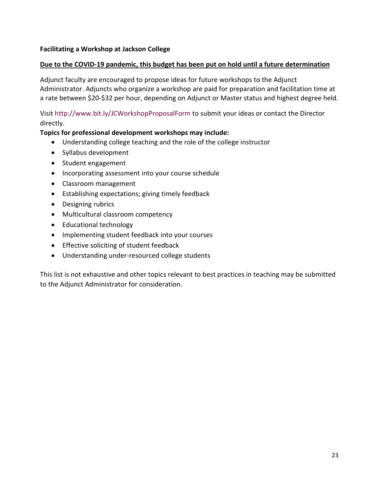## **Facilitating a Workshop at Jackson College**

#### **Due to the COVID-19 pandemic, this budget has been put on hold until a future determination**

Adjunct faculty are encouraged to propose ideas for future workshops to the Adjunct Administrator. Adjuncts who organize a workshop are paid for preparation and facilitation time at a rate between \$20-\$32 per hour, depending on Adjunct or Master status and highest degree held.

Visit <http://www.bit.ly/JCWorkshopProposalForm> to submit your ideas or contact the Director directly.

#### **Topics for professional development workshops may include:**

- Understanding college teaching and the role of the college instructor
- Syllabus development
- Student engagement
- Incorporating assessment into your course schedule
- Classroom management
- Establishing expectations; giving timely feedback
- Designing rubrics
- Multicultural classroom competency
- Educational technology
- Implementing student feedback into your courses
- Effective soliciting of student feedback
- Understanding under-resourced college students

This list is not exhaustive and other topics relevant to best practices in teaching may be submitted to the Adjunct Administrator for consideration.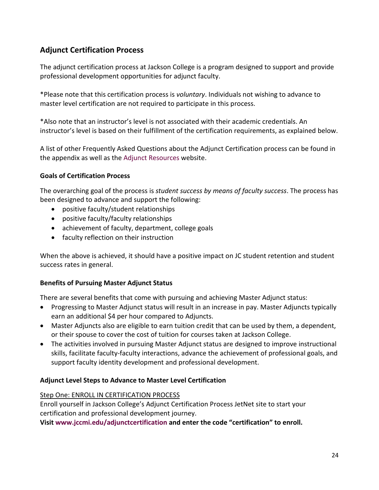# <span id="page-23-0"></span>**Adjunct Certification Process**

The adjunct certification process at Jackson College is a program designed to support and provide professional development opportunities for adjunct faculty.

\*Please note that this certification process is *voluntary*. Individuals not wishing to advance to master level certification are not required to participate in this process.

\*Also note that an instructor's level is not associated with their academic credentials. An instructor's level is based on their fulfillment of the certification requirements, as explained below.

A list of other Frequently Asked Questions about the Adjunct Certification process can be found in the appendix as well as the [Adjunct Resources](https://www.jccmi.edu/academic-deans/adjunct-resources/) website.

## **Goals of Certification Process**

The overarching goal of the process is *student success by means of faculty success*. The process has been designed to advance and support the following:

- positive faculty/student relationships
- positive faculty/faculty relationships
- achievement of faculty, department, college goals
- faculty reflection on their instruction

When the above is achieved, it should have a positive impact on JC student retention and student success rates in general.

## **Benefits of Pursuing Master Adjunct Status**

There are several benefits that come with pursuing and achieving Master Adjunct status:

- Progressing to Master Adjunct status will result in an increase in pay. Master Adjuncts typically earn an additional \$4 per hour compared to Adjuncts.
- Master Adjuncts also are eligible to earn tuition credit that can be used by them, a dependent, or their spouse to cover the cost of tuition for courses taken at Jackson College.
- The activities involved in pursuing Master Adjunct status are designed to improve instructional skills, facilitate faculty-faculty interactions, advance the achievement of professional goals, and support faculty identity development and professional development.

## **Adjunct Level Steps to Advance to Master Level Certification**

## Step One: ENROLL IN CERTIFICATION PROCESS

Enroll yourself in Jackson College's Adjunct Certification Process JetNet site to start your certification and professional development journey.

**Visit [www.jccmi.edu/adjunctcertification](http://www.jccmi.edu/adjunctcertification) and enter the code "certification" to enroll.**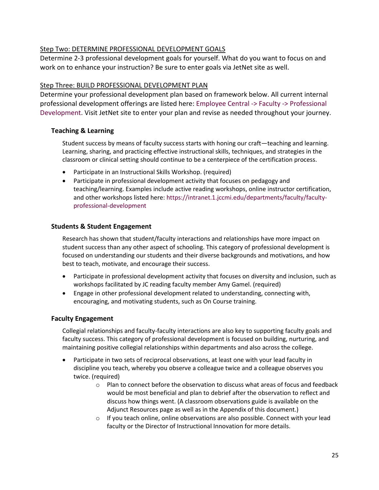#### Step Two: DETERMINE PROFESSIONAL DEVELOPMENT GOALS

Determine 2-3 professional development goals for yourself. What do you want to focus on and work on to enhance your instruction? Be sure to enter goals via JetNet site as well.

#### Step Three: BUILD PROFESSIONAL DEVELOPMENT PLAN

Determine your professional development plan based on framework below. All current internal professional development offerings are listed here: [Employee Central -> Faculty -> Professional](https://intranet.1.jccmi.edu/departments/faculty/faculty-professional-development/)  [Development.](https://intranet.1.jccmi.edu/departments/faculty/faculty-professional-development/) Visit JetNet site to enter your plan and revise as needed throughout your journey.

## **Teaching & Learning**

Student success by means of faculty success starts with honing our craft—teaching and learning. Learning, sharing, and practicing effective instructional skills, techniques, and strategies in the classroom or clinical setting should continue to be a centerpiece of the certification process.

- Participate in an Instructional Skills Workshop. (required)
- Participate in professional development activity that focuses on pedagogy and teaching/learning. Examples include active reading workshops, online instructor certification, and other workshops listed here: [https://intranet.1.jccmi.edu/departments/faculty/faculty](https://intranet.1.jccmi.edu/departments/faculty/faculty-professional-development)[professional-development](https://intranet.1.jccmi.edu/departments/faculty/faculty-professional-development)

#### **Students & Student Engagement**

Research has shown that student/faculty interactions and relationships have more impact on student success than any other aspect of schooling. This category of professional development is focused on understanding our students and their diverse backgrounds and motivations, and how best to teach, motivate, and encourage their success.

- Participate in professional development activity that focuses on diversity and inclusion, such as workshops facilitated by JC reading faculty member Amy Gamel. (required)
- Engage in other professional development related to understanding, connecting with, encouraging, and motivating students, such as On Course training.

## **Faculty Engagement**

Collegial relationships and faculty-faculty interactions are also key to supporting faculty goals and faculty success. This category of professional development is focused on building, nurturing, and maintaining positive collegial relationships within departments and also across the college.

- Participate in two sets of reciprocal observations, at least one with your lead faculty in discipline you teach, whereby you observe a colleague twice and a colleague observes you twice. (required)
	- $\circ$  Plan to connect before the observation to discuss what areas of focus and feedback would be most beneficial and plan to debrief after the observation to reflect and discuss how things went. (A classroom observations guide is available on the Adjunct Resources page as well as in the Appendix of this document.)
	- $\circ$  If you teach online, online observations are also possible. Connect with your lead faculty or the Director of Instructional Innovation for more details.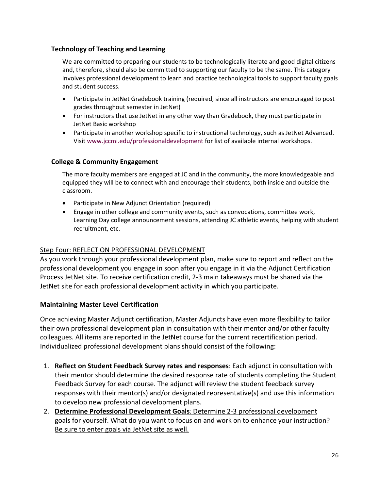#### **Technology of Teaching and Learning**

We are committed to preparing our students to be technologically literate and good digital citizens and, therefore, should also be committed to supporting our faculty to be the same. This category involves professional development to learn and practice technological tools to support faculty goals and student success.

- Participate in JetNet Gradebook training (required, since all instructors are encouraged to post grades throughout semester in JetNet)
- For instructors that use JetNet in any other way than Gradebook, they must participate in JetNet Basic workshop
- Participate in another workshop specific to instructional technology, such as JetNet Advanced. Visi[t www.jccmi.edu/professionaldevelopment](http://www.jccmi.edu/professionaldevelopment) for list of available internal workshops.

## **College & Community Engagement**

The more faculty members are engaged at JC and in the community, the more knowledgeable and equipped they will be to connect with and encourage their students, both inside and outside the classroom.

- Participate in New Adjunct Orientation (required)
- Engage in other college and community events, such as convocations, committee work, Learning Day college announcement sessions, attending JC athletic events, helping with student recruitment, etc.

## Step Four: REFLECT ON PROFESSIONAL DEVELOPMENT

As you work through your professional development plan, make sure to report and reflect on the professional development you engage in soon after you engage in it via the Adjunct Certification Process JetNet site. To receive certification credit, 2-3 main takeaways must be shared via the JetNet site for each professional development activity in which you participate.

## **Maintaining Master Level Certification**

Once achieving Master Adjunct certification, Master Adjuncts have even more flexibility to tailor their own professional development plan in consultation with their mentor and/or other faculty colleagues. All items are reported in the JetNet course for the current recertification period. Individualized professional development plans should consist of the following:

- 1. **Reflect on Student Feedback Survey rates and responses**: Each adjunct in consultation with their mentor should determine the desired response rate of students completing the Student Feedback Survey for each course. The adjunct will review the student feedback survey responses with their mentor(s) and/or designated representative(s) and use this information to develop new professional development plans.
- 2. **Determine Professional Development Goals**: Determine 2-3 professional development goals for yourself. What do you want to focus on and work on to enhance your instruction? Be sure to enter goals via JetNet site as well.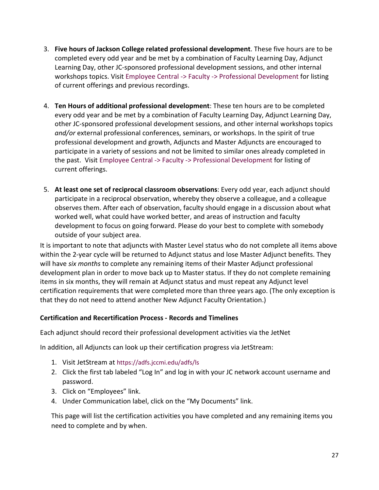- 3. **Five hours of Jackson College related professional development**. These five hours are to be completed every odd year and be met by a combination of Faculty Learning Day, Adjunct Learning Day, other JC-sponsored professional development sessions, and other internal workshops topics. Visit [Employee Central -> Faculty -> Professional Development](https://intranet.1.jccmi.edu/departments/faculty/faculty-professional-development/) for listing of current offerings and previous recordings.
- 4. **Ten Hours of additional professional development**: These ten hours are to be completed every odd year and be met by a combination of Faculty Learning Day, Adjunct Learning Day, other JC-sponsored professional development sessions, and other internal workshops topics *and/or* external professional conferences, seminars, or workshops. In the spirit of true professional development and growth, Adjuncts and Master Adjuncts are encouraged to participate in a variety of sessions and not be limited to similar ones already completed in the past. Visit [Employee Central -> Faculty -> Professional Development](https://intranet.1.jccmi.edu/departments/faculty/faculty-professional-development/) for listing of current offerings.
- 5. **At least one set of reciprocal classroom observations**: Every odd year, each adjunct should participate in a reciprocal observation, whereby they observe a colleague, and a colleague observes them. After each of observation, faculty should engage in a discussion about what worked well, what could have worked better, and areas of instruction and faculty development to focus on going forward. Please do your best to complete with somebody outside of your subject area.

It is important to note that adjuncts with Master Level status who do not complete all items above within the 2-year cycle will be returned to Adjunct status and lose Master Adjunct benefits. They will have *six months* to complete any remaining items of their Master Adjunct professional development plan in order to move back up to Master status. If they do not complete remaining items in six months, they will remain at Adjunct status and must repeat any Adjunct level certification requirements that were completed more than three years ago. (The only exception is that they do not need to attend another New Adjunct Faculty Orientation.)

## **Certification and Recertification Process - Records and Timelines**

Each adjunct should record their professional development activities via the JetNet

In addition, all Adjuncts can look up their certification progress via JetStream:

- 1. Visit JetStream at<https://adfs.jccmi.edu/adfs/ls>
- 2. Click the first tab labeled "Log In" and log in with your JC network account username and password.
- 3. Click on "Employees" link.
- 4. Under Communication label, click on the "My Documents" link.

This page will list the certification activities you have completed and any remaining items you need to complete and by when.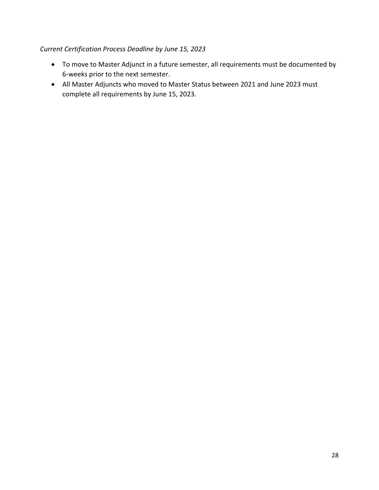## *Current Certification Process Deadline by June 15, 2023*

- To move to Master Adjunct in a future semester, all requirements must be documented by 6-weeks prior to the next semester.
- <span id="page-27-0"></span>• All Master Adjuncts who moved to Master Status between 2021 and June 2023 must complete all requirements by June 15, 2023.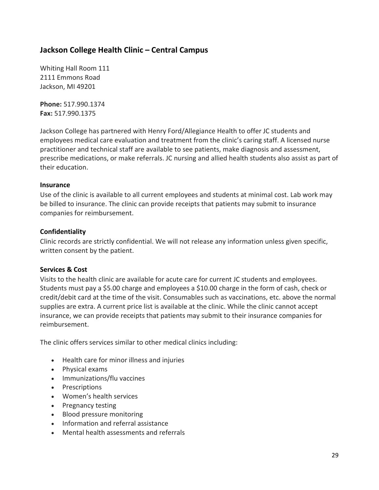# **Jackson College Health Clinic – Central Campus**

Whiting Hall Room 111 2111 Emmons Road Jackson, MI 49201

**Phone:** 517.990.1374 **Fax:** 517.990.1375

Jackson College has partnered with Henry Ford/Allegiance Health to offer JC students and employees medical care evaluation and treatment from the clinic's caring staff. A licensed nurse practitioner and technical staff are available to see patients, make diagnosis and assessment, prescribe medications, or make referrals. JC nursing and allied health students also assist as part of their education.

#### **Insurance**

Use of the clinic is available to all current employees and students at minimal cost. Lab work may be billed to insurance. The clinic can provide receipts that patients may submit to insurance companies for reimbursement.

## **Confidentiality**

Clinic records are strictly confidential. We will not release any information unless given specific, written consent by the patient.

#### **Services & Cost**

Visits to the health clinic are available for acute care for current JC students and employees. Students must pay a \$5.00 charge and employees a \$10.00 charge in the form of cash, check or credit/debit card at the time of the visit. Consumables such as vaccinations, etc. above the normal supplies are extra. A current price list is available at the clinic. While the clinic cannot accept insurance, we can provide receipts that patients may submit to their insurance companies for reimbursement.

The clinic offers services similar to other medical clinics including:

- Health care for minor illness and injuries
- Physical exams
- Immunizations/flu vaccines
- Prescriptions
- Women's health services
- Pregnancy testing
- Blood pressure monitoring
- Information and referral assistance
- Mental health assessments and referrals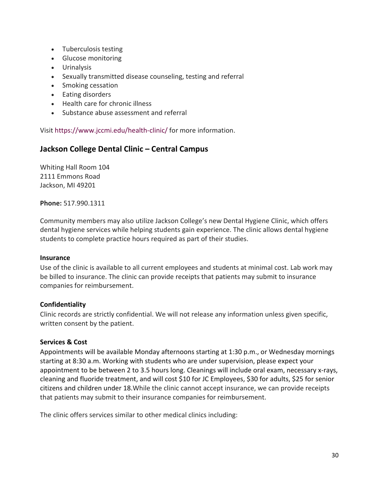- Tuberculosis testing
- Glucose monitoring
- Urinalysis
- Sexually transmitted disease counseling, testing and referral
- Smoking cessation
- Eating disorders
- Health care for chronic illness
- Substance abuse assessment and referral

Visit<https://www.jccmi.edu/health-clinic/> for more information.

## <span id="page-29-0"></span>**Jackson College Dental Clinic – Central Campus**

Whiting Hall Room 104 2111 Emmons Road Jackson, MI 49201

**Phone:** 517.990.1311

Community members may also utilize Jackson College's new Dental Hygiene Clinic, which offers dental hygiene services while helping students gain experience. The clinic allows dental hygiene students to complete practice hours required as part of their studies.

#### **Insurance**

Use of the clinic is available to all current employees and students at minimal cost. Lab work may be billed to insurance. The clinic can provide receipts that patients may submit to insurance companies for reimbursement.

#### **Confidentiality**

Clinic records are strictly confidential. We will not release any information unless given specific, written consent by the patient.

#### **Services & Cost**

Appointments will be available Monday afternoons starting at 1:30 p.m., or Wednesday mornings starting at 8:30 a.m. Working with students who are under supervision, please expect your appointment to be between 2 to 3.5 hours long. Cleanings will include oral exam, necessary x-rays, cleaning and fluoride treatment, and will cost \$10 for JC Employees, \$30 for adults, \$25 for senior citizens and children under 18.While the clinic cannot accept insurance, we can provide receipts that patients may submit to their insurance companies for reimbursement.

The clinic offers services similar to other medical clinics including: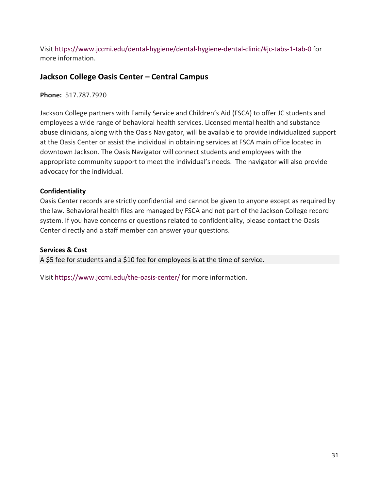Visit<https://www.jccmi.edu/dental-hygiene/dental-hygiene-dental-clinic/#jc-tabs-1-tab-0> for more information.

# <span id="page-30-0"></span>**Jackson College Oasis Center – Central Campus**

**Phone:** 517.787.7920

Jackson College partners with Family Service and Children's Aid (FSCA) to offer JC students and employees a wide range of behavioral health services. Licensed mental health and substance abuse clinicians, along with the Oasis Navigator, will be available to provide individualized support at the Oasis Center or assist the individual in obtaining services at FSCA main office located in downtown Jackson. The Oasis Navigator will connect students and employees with the appropriate community support to meet the individual's needs. The navigator will also provide advocacy for the individual.

## **Confidentiality**

Oasis Center records are strictly confidential and cannot be given to anyone except as required by the law. Behavioral health files are managed by FSCA and not part of the Jackson College record system. If you have concerns or questions related to confidentiality, please contact the Oasis Center directly and a staff member can answer your questions.

## **Services & Cost**

A \$5 fee for students and a \$10 fee for employees is at the time of service.

Visit https://www.jccmi.edu/the-oasis-center/ for more information.